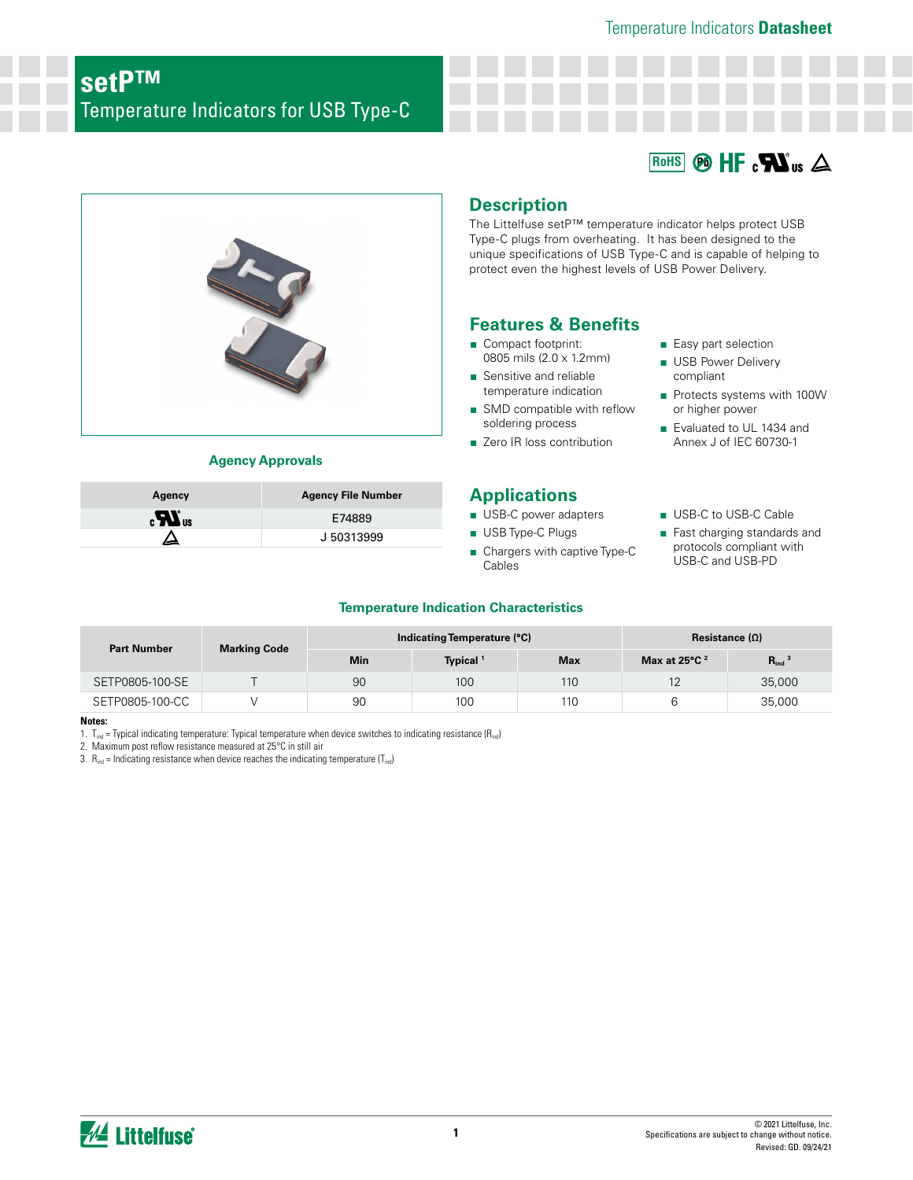#### $\circledR$  HF  $\circ$   $\mathbf{W}$ <sub>us</sub>  $\triangle$ **RoHS**



## **Agency Approvals**

| Agency                         | <b>Agency File Number</b> |
|--------------------------------|---------------------------|
| $\boldsymbol{H}$ <sub>us</sub> | E74889                    |
|                                | J 50313999                |

**Description**

The Littelfuse setP™ temperature indicator helps protect USB Type-C plugs from overheating. It has been designed to the unique specifications of USB Type-C and is capable of helping to protect even the highest levels of USB Power Delivery.

# **Features & Benefits**

- Compact footprint: 0805 mils (2.0 x 1.2mm)
- Sensitive and reliable temperature indication
- SMD compatible with reflow soldering process
- Zero IR loss contribution

# **Applications**

- USB-C power adapters
- USB Type-C Plugs
- Chargers with captive Type-C Cables
- Easy part selection
- USB Power Delivery compliant
- Protects systems with 100W or higher power
- Evaluated to UL 1434 and Annex J of IEC 60730-1

#### ■ USB-C to USB-C Cable

■ Fast charging standards and protocols compliant with USB-C and USB-PD

## **Temperature Indication Characteristics**

| <b>Part Number</b> |                     |            | Indicating Temperature (°C) | Resistance $(\Omega)$ |                                    |                        |  |
|--------------------|---------------------|------------|-----------------------------|-----------------------|------------------------------------|------------------------|--|
|                    | <b>Marking Code</b> | <b>Min</b> | Typical <sup>1</sup>        | <b>Max</b>            | Max at $25^{\circ}$ C <sup>2</sup> | $R_{ind}$ <sup>3</sup> |  |
| SETP0805-100-SE    |                     | 90         | 100                         | 110                   | 12                                 | 35,000                 |  |
| SETP0805-100-CC    |                     | 90         | 100                         | 110                   |                                    | 35,000                 |  |

- **Notes:**
- 1.  $T_{ind}$  = Typical indicating temperature: Typical temperature when device switches to indicating resistance ( $R_{ind}$ )

2. Maximum post reflow resistance measured at 25°C in still air

3.  $R_{ind}$  = Indicating resistance when device reaches the indicating temperature (T<sub>ind</sub>)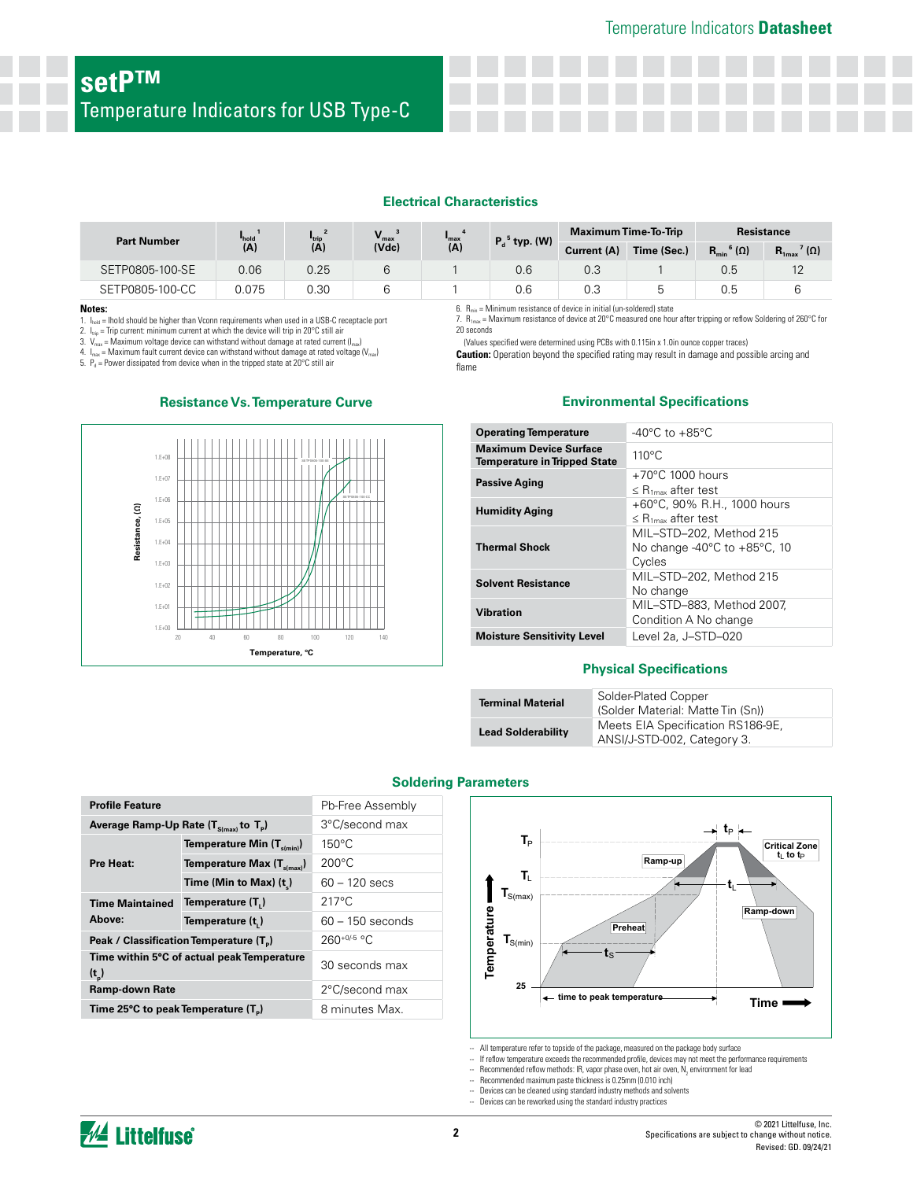#### **Electrical Characteristics**

| <b>Part Number</b> | $V_{\text{max}}$<br>$I_{hold}$<br><b>I</b> trip<br>$max$ |      | <b>Maximum Time-To-Trip</b> | Resistance |                                                                                     |             |             |                                      |                                           |
|--------------------|----------------------------------------------------------|------|-----------------------------|------------|-------------------------------------------------------------------------------------|-------------|-------------|--------------------------------------|-------------------------------------------|
|                    | (A)                                                      | (A)  | (Vdc)                       | (A)        | $P_d^5$ typ. (W)                                                                    | Current (A) | Time (Sec.) | $R_{\min}$ <sup>6</sup> ( $\Omega$ ) | $\mathbf{R}_{1\text{max}}$ ' ( $\Omega$ ) |
| SETP0805-100-SE    | 0.06                                                     | 0.25 | 6                           |            | 0.6                                                                                 | 0.3         |             | 0.5                                  | $12 \overline{ }$                         |
| SETP0805-100-CC    | 0.075                                                    | 0.30 | 6                           |            | 0.6                                                                                 | 0.3         | b           | 0.5                                  |                                           |
| Notes:             |                                                          |      |                             |            | $6.$ $R_{\text{min}}$ = Minimum resistance of device in initial (un-soldered) state |             |             |                                      |                                           |

20 seconds

flame

#### **Notes:**

1.  $I_{\text{hold}}$  = Ihold should be higher than Vconn requirements when used in a USB-C receptacle port

2.  $I_{\text{top}} =$  Trip current: minimum current at which the device will trip in 20°C still air 3.  $V_{\text{max}} =$  Maximum voltage device can withstand without damage at rated current  $V_{\text{max}}$  = Maximum voltage device can withstand without damage at rated current ( $I_{\text{max}}$ )

4.  $I_{\text{max}}$  = Maximum fault current device can withstand without damage at rated voltage ( $V_{\text{max}}$ )

5.  $P_d$  = Power dissipated from device when in the tripped state at 20°C still air



## **Resistance Vs. Temperature Curve**

#### **Environmental Specifications**

7. R1max = Maximum resistance of device at 20°C measured one hour after tripping or reflow Soldering of 260°C for

**Caution:** Operation beyond the specified rating may result in damage and possible arcing and

(Values specified were determined using PCBs with 0.115in x 1.0in ounce copper traces)

| <b>Operating Temperature</b>                                         | $-40^{\circ}$ C to $+85^{\circ}$ C                                 |
|----------------------------------------------------------------------|--------------------------------------------------------------------|
| <b>Maximum Device Surface</b><br><b>Temperature in Tripped State</b> | $110^{\circ}$ C                                                    |
| <b>Passive Aging</b>                                                 | $+70^{\circ}$ C 1000 hours<br>$\leq$ R <sub>1max</sub> after test  |
| <b>Humidity Aging</b>                                                | +60°C, 90% R.H., 1000 hours<br>$\leq$ R <sub>1max</sub> after test |
| <b>Thermal Shock</b>                                                 | MIL-STD-202, Method 215<br>No change -40°C to +85°C, 10<br>Cycles  |
| <b>Solvent Resistance</b>                                            | MIL-STD-202. Method 215<br>No change                               |
| <b>Vibration</b>                                                     | MIL-STD-883, Method 2007,<br>Condition A No change                 |
| <b>Moisture Sensitivity Level</b>                                    | Level 2a, J-STD-020                                                |

#### **Physical Specifications**

| <b>Terminal Material</b>  | Solder-Plated Copper<br>(Solder Material: Matte Tin (Sn))        |
|---------------------------|------------------------------------------------------------------|
| <b>Lead Solderability</b> | Meets EIA Specification RS186-9E,<br>ANSI/J-STD-002, Category 3. |

| <b>Profile Feature</b>                                       |                                                     | Pb-Free Assembly   |  |  |  |
|--------------------------------------------------------------|-----------------------------------------------------|--------------------|--|--|--|
| Average Ramp-Up Rate $(T_{\text{S(mav)}}$ to $T_{\text{p}})$ |                                                     | 3°C/second max     |  |  |  |
|                                                              | Temperature Min $(T_{s(\text{min})})$               | $150^{\circ}$ C    |  |  |  |
| Pre Heat:                                                    | Temperature Max $(T_{\text{s(max)}})$               | $200^{\circ}$ C    |  |  |  |
|                                                              | Time (Min to Max) $(t_*)$                           | $60 - 120$ secs    |  |  |  |
| <b>Time Maintained</b>                                       | Temperature (T.)                                    | $217^{\circ}$ C    |  |  |  |
| Above:                                                       | Temperature (t)                                     | $60 - 150$ seconds |  |  |  |
|                                                              | Peak / Classification Temperature (T <sub>a</sub> ) | $260^{+0/5}$ °C    |  |  |  |
| (t <sub>n</sub> )                                            | Time within 5°C of actual peak Temperature          | 30 seconds max     |  |  |  |
| Ramp-down Rate                                               | 2°C/second max                                      |                    |  |  |  |
| Time 25°C to peak Temperature (T <sub>a</sub> )              |                                                     | 8 minutes Max.     |  |  |  |

#### **Soldering Parameters**



- -- All temperature refer to topside of the package, measured on the package body surface -- If reflow temperature exceeds the recommended profile, devices may not meet the performance requirements
- -- Recommended reflow methods: IR, vapor phase oven, hot air oven,  $\mathsf{N}_2$  environment for lead

-- Recommended maximum paste thickness is 0.25mm (0.010 inch)<br>-- Devices can be cleaned using standard industry methods and solve

Devices can be cleaned using standard industry methods and solvents

Devices can be reworked using the standard industry practices

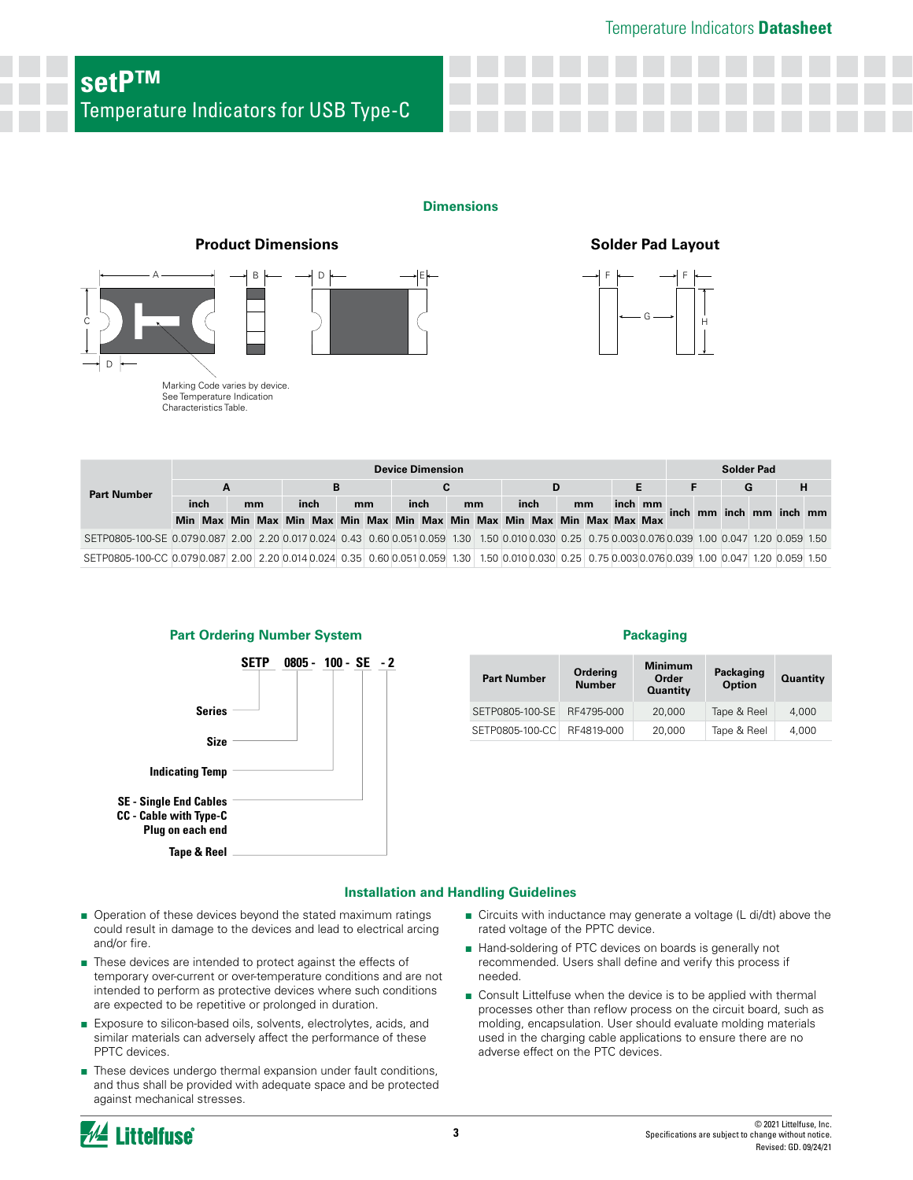#### **Dimensions**



See Temperature Indication See Temperature Indication Characteristics Table. Characteristics Table.

C



|                                                                                                                                                     | <b>Device Dimension</b> |   |  |    |  |                                                                         |        |  |  |      | <b>Solder Pad</b> |  |  |      |   |    |         |   |  |  |  |  |                         |  |
|-----------------------------------------------------------------------------------------------------------------------------------------------------|-------------------------|---|--|----|--|-------------------------------------------------------------------------|--------|--|--|------|-------------------|--|--|------|---|----|---------|---|--|--|--|--|-------------------------|--|
| <b>Part Number</b>                                                                                                                                  |                         | A |  |    |  |                                                                         | C<br>D |  |  |      |                   |  |  |      | G |    |         | н |  |  |  |  |                         |  |
|                                                                                                                                                     | inch                    |   |  | mm |  | inch                                                                    | mm     |  |  | inch | mm                |  |  | inch |   | mm | inch mm |   |  |  |  |  | inch mm inch mm inch mm |  |
|                                                                                                                                                     |                         |   |  |    |  | Min Max Min Max Min Max Min Max Min Max Min Max Min Max Min Max Max Max |        |  |  |      |                   |  |  |      |   |    |         |   |  |  |  |  |                         |  |
| SETP0805-100-SE 0.0790.087 2.00 2.20 0.017 0.024 0.43 0.60 0.051 0.059 1.30 1.50 0.010 0.030 0.25 0.75 0.003 0.076 0.039 1.00 0.047 1.20 0.059 1.50 |                         |   |  |    |  |                                                                         |        |  |  |      |                   |  |  |      |   |    |         |   |  |  |  |  |                         |  |
| SETP0805-100-CC 0.0790.087 2.00 2.20 0.014 0.024 0.35 0.60 0.051 0.059 1.30 1.50 0.010 0.030 0.25 0.75 0.003 0.076 0.039 1.00 0.047 1.20 0.059 1.50 |                         |   |  |    |  |                                                                         |        |  |  |      |                   |  |  |      |   |    |         |   |  |  |  |  |                         |  |



| <b>Part Number</b> | Ordering<br><b>Number</b> | <b>Minimum</b><br>Order<br><b>Quantity</b> | Packaging<br><b>Option</b> | <b>Quantity</b> |
|--------------------|---------------------------|--------------------------------------------|----------------------------|-----------------|
| SETP0805-100-SE    | RF4795-000                | 20,000                                     | Tape & Reel                | 4.000           |
| SETP0805-100-CC    | RF4819-000                | 20,000                                     | Tape & Reel                | 4,000           |

#### **Installation and Handling Guidelines**

- Operation of these devices beyond the stated maximum ratings could result in damage to the devices and lead to electrical arcing and/or fire.
- These devices are intended to protect against the effects of temporary over-current or over-temperature conditions and are not intended to perform as protective devices where such conditions are expected to be repetitive or prolonged in duration.
- Exposure to silicon-based oils, solvents, electrolytes, acids, and similar materials can adversely affect the performance of these PPTC devices.
- These devices undergo thermal expansion under fault conditions, and thus shall be provided with adequate space and be protected against mechanical stresses.
- Circuits with inductance may generate a voltage (L di/dt) above the rated voltage of the PPTC device.
- Hand-soldering of PTC devices on boards is generally not recommended. Users shall define and verify this process if needed.
- Consult Littelfuse when the device is to be applied with thermal processes other than reflow process on the circuit board, such as molding, encapsulation. User should evaluate molding materials used in the charging cable applications to ensure there are no adverse effect on the PTC devices.